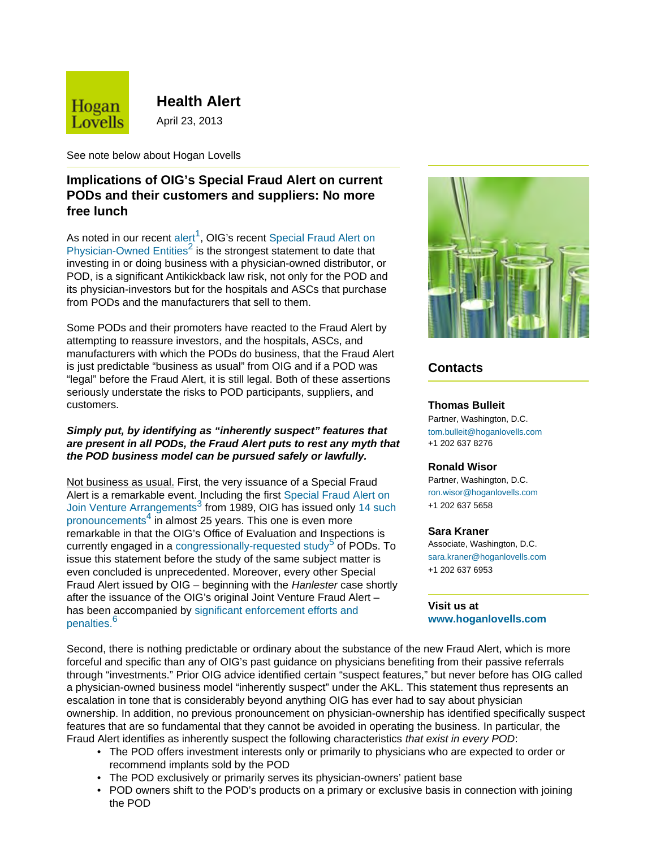

**Health Alert**

April 23, 2013

See note below about Hogan Lovells

# **Implications of OIG's Special Fraud Alert on current PODs and their customers and suppliers: No more free lunch**

As noted in our recent [alert](#page-1-0)<sup>[1](#page-1-0)</sup>, OIG's recent [Special Fraud Alert on](#page-1-1) [Physician-Owned Entities](#page-1-1)<sup>[2](#page-1-1)</sup> is the strongest statement to date that investing in or doing business with a physician-owned distributor, or POD, is a significant Antikickback law risk, not only for the POD and its physician-investors but for the hospitals and ASCs that purchase from PODs and the manufacturers that sell to them.

Some PODs and their promoters have reacted to the Fraud Alert by attempting to reassure investors, and the hospitals, ASCs, and manufacturers with which the PODs do business, that the Fraud Alert is just predictable "business as usual" from OIG and if a POD was "legal" before the Fraud Alert, it is still legal. Both of these assertions seriously understate the risks to POD participants, suppliers, and customers.

## *Simply put, by identifying as "inherently suspect" features that are present in all PODs, the Fraud Alert puts to rest any myth that the POD business model can be pursued safely or lawfully.*

Not business as usual. First, the very issuance of a Special Fraud Alert is a remarkable event. Including the first [Special Fraud Alert on](#page-1-2) [Join Venture Arrangements](#page-1-2)<sup>[3](#page-1-2)</sup> from 1989, OIG has issued only [14 such](#page-1-3) [pronouncements](#page-1-3)<sup>[4](#page-1-3)</sup> in almost 25 years. This one is even more remarkable in that the OIG's Office of Evaluation and Inspections is currently engaged in a [congressionally-requested study](#page-1-4)<sup>[5](#page-1-4)</sup> of PODs. To issue this statement before the study of the same subject matter is even concluded is unprecedented. Moreover, every other Special Fraud Alert issued by OIG – beginning with the *Hanlester* case shortly after the issuance of the OIG's original Joint Venture Fraud Alert – has been accompanied by [significant enforcement efforts and](#page-2-0) [penalties.](#page-2-0)<sup>[6](#page-2-0)</sup>



# **Contacts**

### **Thomas Bulleit**

Partner, Washington, D.C. [tom.bulleit@hoganlovells.com](mailto:tom.bulleit@hoganlovells.com) +1 202 637 8276

## **Ronald Wisor**

Partner, Washington, D.C. [ron.wisor@hoganlovells.com](mailto:ron.wisor@hoganlovells.com) +1 202 637 5658

#### **Sara Kraner**

Associate, Washington, D.C. [sara.kraner@hoganlovells.com](mailto:sara.kraner@hoganlovells.com) +1 202 637 6953

**Visit us at [www.hoganlovells.com](http://www.hoganlovells.com)**

Second, there is nothing predictable or ordinary about the substance of the new Fraud Alert, which is more forceful and specific than any of OIG's past guidance on physicians benefiting from their passive referrals through "investments." Prior OIG advice identified certain "suspect features," but never before has OIG called a physician-owned business model "inherently suspect" under the AKL. This statement thus represents an escalation in tone that is considerably beyond anything OIG has ever had to say about physician ownership. In addition, no previous pronouncement on physician-ownership has identified specifically suspect features that are so fundamental that they cannot be avoided in operating the business. In particular, the Fraud Alert identifies as inherently suspect the following characteristics *that exist in every POD*:

- The POD offers investment interests only or primarily to physicians who are expected to order or recommend implants sold by the POD
- The POD exclusively or primarily serves its physician-owners' patient base
- POD owners shift to the POD's products on a primary or exclusive basis in connection with joining the POD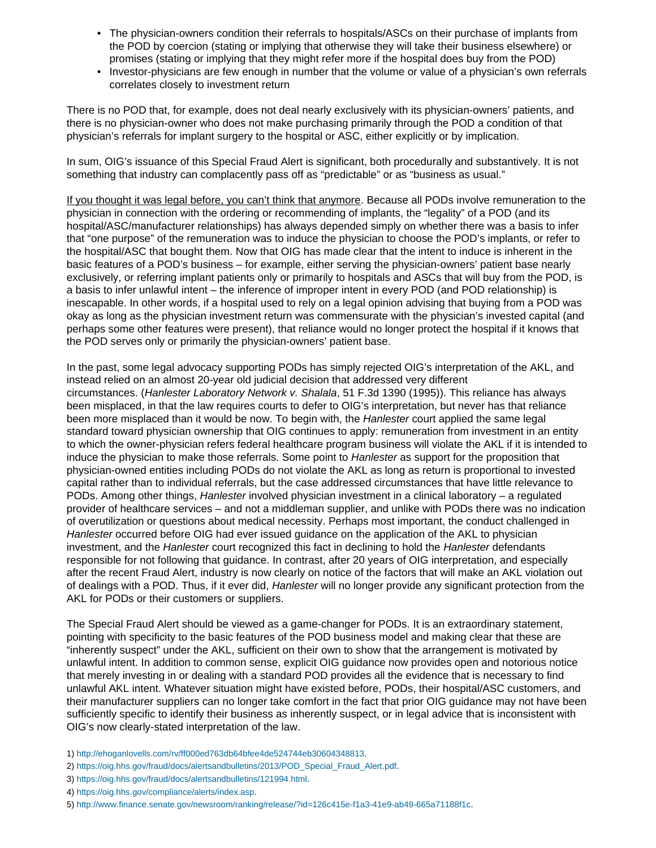- The physician-owners condition their referrals to hospitals/ASCs on their purchase of implants from the POD by coercion (stating or implying that otherwise they will take their business elsewhere) or promises (stating or implying that they might refer more if the hospital does buy from the POD)
- Investor-physicians are few enough in number that the volume or value of a physician's own referrals correlates closely to investment return

There is no POD that, for example, does not deal nearly exclusively with its physician-owners' patients, and there is no physician-owner who does not make purchasing primarily through the POD a condition of that physician's referrals for implant surgery to the hospital or ASC, either explicitly or by implication.

In sum, OIG's issuance of this Special Fraud Alert is significant, both procedurally and substantively. It is not something that industry can complacently pass off as "predictable" or as "business as usual."

If you thought it was legal before, you can't think that anymore. Because all PODs involve remuneration to the physician in connection with the ordering or recommending of implants, the "legality" of a POD (and its hospital/ASC/manufacturer relationships) has always depended simply on whether there was a basis to infer that "one purpose" of the remuneration was to induce the physician to choose the POD's implants, or refer to the hospital/ASC that bought them. Now that OIG has made clear that the intent to induce is inherent in the basic features of a POD's business – for example, either serving the physician-owners' patient base nearly exclusively, or referring implant patients only or primarily to hospitals and ASCs that will buy from the POD, is a basis to infer unlawful intent – the inference of improper intent in every POD (and POD relationship) is inescapable. In other words, if a hospital used to rely on a legal opinion advising that buying from a POD was okay as long as the physician investment return was commensurate with the physician's invested capital (and perhaps some other features were present), that reliance would no longer protect the hospital if it knows that the POD serves only or primarily the physician-owners' patient base.

In the past, some legal advocacy supporting PODs has simply rejected OIG's interpretation of the AKL, and instead relied on an almost 20-year old judicial decision that addressed very different circumstances. (*Hanlester Laboratory Network v. Shalala*, 51 F.3d 1390 (1995)). This reliance has always been misplaced, in that the law requires courts to defer to OIG's interpretation, but never has that reliance been more misplaced than it would be now. To begin with, the *Hanlester* court applied the same legal standard toward physician ownership that OIG continues to apply: remuneration from investment in an entity to which the owner-physician refers federal healthcare program business will violate the AKL if it is intended to induce the physician to make those referrals. Some point to *Hanlester* as support for the proposition that physician-owned entities including PODs do not violate the AKL as long as return is proportional to invested capital rather than to individual referrals, but the case addressed circumstances that have little relevance to PODs. Among other things, *Hanlester* involved physician investment in a clinical laboratory – a regulated provider of healthcare services – and not a middleman supplier, and unlike with PODs there was no indication of overutilization or questions about medical necessity. Perhaps most important, the conduct challenged in *Hanlester* occurred before OIG had ever issued guidance on the application of the AKL to physician investment, and the *Hanlester* court recognized this fact in declining to hold the *Hanlester* defendants responsible for not following that guidance. In contrast, after 20 years of OIG interpretation, and especially after the recent Fraud Alert, industry is now clearly on notice of the factors that will make an AKL violation out of dealings with a POD. Thus, if it ever did, *Hanlester* will no longer provide any significant protection from the AKL for PODs or their customers or suppliers.

The Special Fraud Alert should be viewed as a game-changer for PODs. It is an extraordinary statement, pointing with specificity to the basic features of the POD business model and making clear that these are "inherently suspect" under the AKL, sufficient on their own to show that the arrangement is motivated by unlawful intent. In addition to common sense, explicit OIG guidance now provides open and notorious notice that merely investing in or dealing with a standard POD provides all the evidence that is necessary to find unlawful AKL intent. Whatever situation might have existed before, PODs, their hospital/ASC customers, and their manufacturer suppliers can no longer take comfort in the fact that prior OIG guidance may not have been sufficiently specific to identify their business as inherently suspect, or in legal advice that is inconsistent with OIG's now clearly-stated interpretation of the law.

- <span id="page-1-0"></span>1) <http://ehoganlovells.com/rv/ff000ed763db64bfee4de524744eb30604348813>.
- <span id="page-1-1"></span>2) [https://oig.hhs.gov/fraud/docs/alertsandbulletins/2013/POD\\_Special\\_Fraud\\_Alert.pdf](https://oig.hhs.gov/fraud/docs/alertsandbulletins/2013/POD_Special_Fraud_Alert.pdf).
- <span id="page-1-2"></span>3) [https://oig.hhs.gov/fraud/docs/alertsandbulletins/121994.html.](https://oig.hhs.gov/fraud/docs/alertsandbulletins/121994.html)
- <span id="page-1-3"></span>4) <https://oig.hhs.gov/compliance/alerts/index.asp>.
- <span id="page-1-4"></span>5) [http://www.finance.senate.gov/newsroom/ranking/release/?id=126c415e-f1a3-41e9-ab49-665a71188f1c.](http://www.finance.senate.gov/newsroom/ranking/release/?id=126c415e-f1a3-41e9-ab49-665a71188f1c)